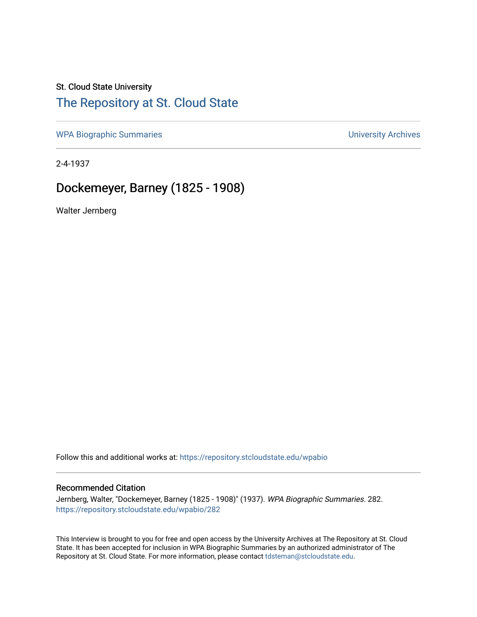## St. Cloud State University

## [The Repository at St. Cloud State](https://repository.stcloudstate.edu/)

[WPA Biographic Summaries](https://repository.stcloudstate.edu/wpabio) **WPA Biographic Summaries University Archives** 

2-4-1937

# Dockemeyer, Barney (1825 - 1908)

Walter Jernberg

Follow this and additional works at: [https://repository.stcloudstate.edu/wpabio](https://repository.stcloudstate.edu/wpabio?utm_source=repository.stcloudstate.edu%2Fwpabio%2F282&utm_medium=PDF&utm_campaign=PDFCoverPages) 

### Recommended Citation

Jernberg, Walter, "Dockemeyer, Barney (1825 - 1908)" (1937). WPA Biographic Summaries. 282. [https://repository.stcloudstate.edu/wpabio/282](https://repository.stcloudstate.edu/wpabio/282?utm_source=repository.stcloudstate.edu%2Fwpabio%2F282&utm_medium=PDF&utm_campaign=PDFCoverPages) 

This Interview is brought to you for free and open access by the University Archives at The Repository at St. Cloud State. It has been accepted for inclusion in WPA Biographic Summaries by an authorized administrator of The Repository at St. Cloud State. For more information, please contact [tdsteman@stcloudstate.edu.](mailto:tdsteman@stcloudstate.edu)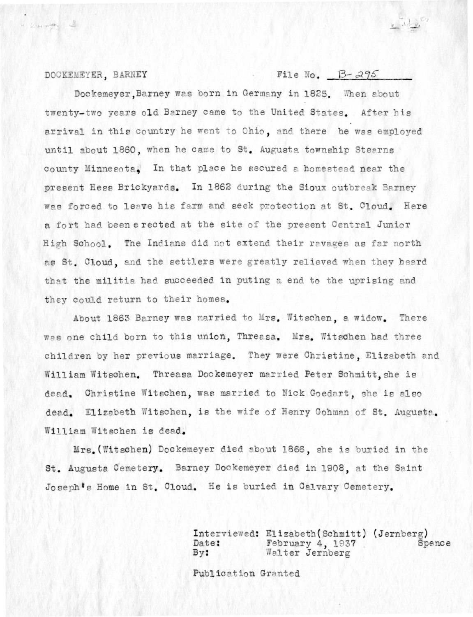### DOCKEMEYER, BARNEY

Si cas souther

## File No.  $B-295$

 $x \frac{1}{2}$ 

Dockemeyer Barney was born in Germany in 1825. When about twenty-two years old Barney came to the United States. After his arrival in this country he went to Ohio, and there he was employed until about 1860, when he came to St. Augusta township Stearns county Minnesota. In that place he secured a homestead near the present Hess Brickyards. In 1862 during the Sioux outbreak Barney was forced to leave his farm and seek protection at St. Cloud. Here a fort had been erected at the site of the present Central Junior High School. The Indians did not extend their ravages as far north as St. Cloud, and the settlers were greatly relieved when they heard that the militia had succeeded in puting a end to the uprising and they could return to their homes.

About 1863 Barney was married to Mrs. Witschen, a widow. There was one child born to this union, Threasa. Mrs. Witschen had three children by her previous marriage. They were Christine, Elizabeth and William Witschen. Threasa Dockemeyer married Peter Schmitt. she is dead. Christine Witschen, was married to Nick Goedart, she is also dead. Elizabeth Witschen, is the wife of Henry Gohman of St. Augusta. William Witschen is dead.

Mrs. (Witschen) Dockemeyer died about 1866, she is buried in the St. Augusta Cemetery. Barney Dockemeyer died in 1908, at the Saint Joseph's Home in St. Cloud. He is buried in Calvary Cemetery.

> Interviewed: Elizabeth (Schmitt) (Jernberg) February 4, 1937 Date: Spence  $By:$ Walter Jernberg

Publication Granted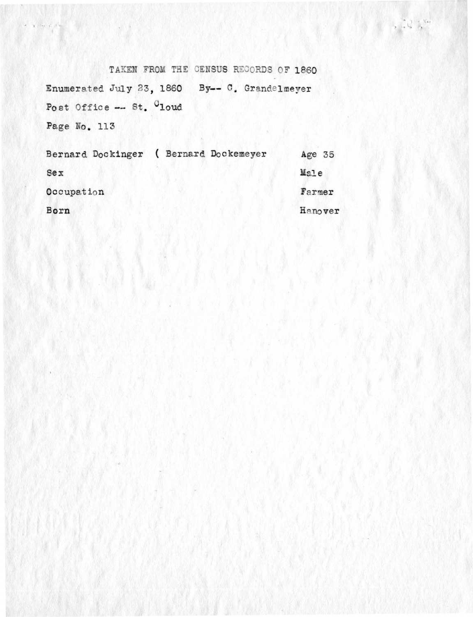TAKEN FROM THE CENSUS RECORDS OF 1860 Enumerated July 23, 1860 By-- C. Grandelmeyer Post Office -- St. Cloud Page No. 113

lu.

 $\mathcal{X} = \mathbb{P}^{\frac{1}{2}}\nabla f \cdot \mathbb{E}^{\frac{1}{2}} \cdot \mathbb{P}^{\frac{1}{2}}\cdot \mathbb{P}^{\frac{1}{2}}\cdot \mathbb{P}^{\frac{1}{2}}$ 

Bernard Dockinger ( Bernard Dockemeyer Age 35 Male  $<sub>sex</sub>$ </sub> Occupation Farmer Born Hanover